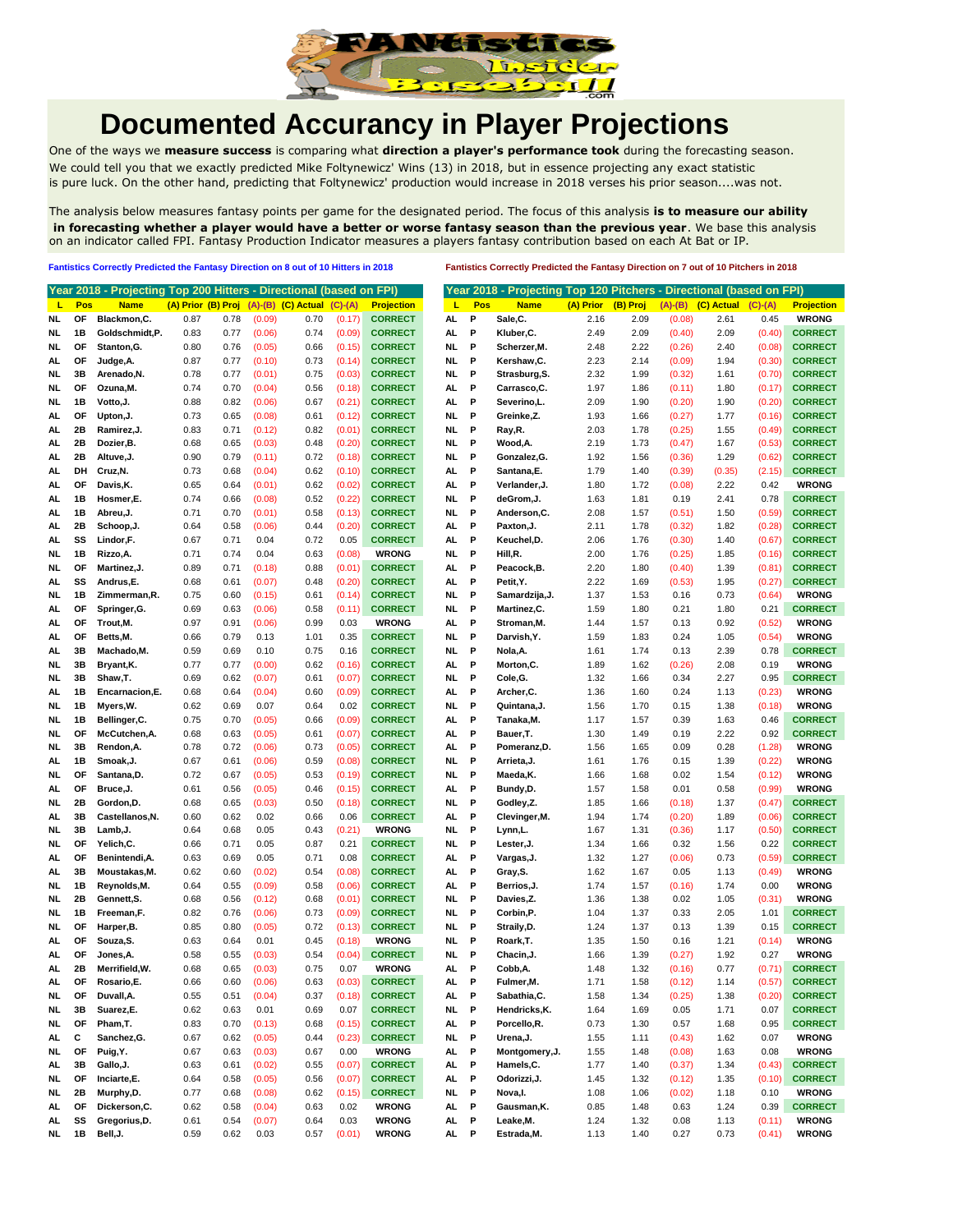

## **Documented Accurancy in Player Projections**

One of the ways we **measure success** is comparing what **direction a player's performance took** during the forecasting season. We could tell you that we exactly predicted Mike Foltynewicz' Wins (13) in 2018, but in essence projecting any exact statistic is pure luck. On the other hand, predicting that Foltynewicz' production would increase in 2018 verses his prior season....was not.

The analysis below measures fantasy points per game for the designated period. The focus of this analysis **is to measure our ability in forecasting whether a player would have a better or worse fantasy season than the previous year**. We base this analysis on an indicator called FPI. Fantasy Production Indicator measures a players fantasy contribution based on each At Bat or IP.

**Fantistics Correctly Predicted the Fantasy Direction on 8 out of 10 Hitters in 2018 Fantistics Correctly Predicted the Fantasy Direction on 7 out of 10 Pitchers in 2018**

|          |          | Year 2018 - Projecting Top 200 Hitters - Directional (based on FPI) |                    |              |                  |                            |                  |                                |            |             | Year 2018 - Projecting Top 120 Pitchers - Directional (based on FPI) |              |              |                |              |                  |                                |
|----------|----------|---------------------------------------------------------------------|--------------------|--------------|------------------|----------------------------|------------------|--------------------------------|------------|-------------|----------------------------------------------------------------------|--------------|--------------|----------------|--------------|------------------|--------------------------------|
| L        | Pos      | <b>Name</b>                                                         | (A) Prior (B) Proj |              |                  | $(A)$ - $(B)$ $(C)$ Actual | $(C)-(A)$        | <b>Projection</b>              | т          | Pos         | <b>Name</b>                                                          | (A) Prior    | (B) Proj     | $(A)-(B)$      | (C) Actual   | $(C)-(A)$        | <b>Projection</b>              |
| NL       | OF       | Blackmon, C.                                                        | 0.87               | 0.78         | (0.09)           | 0.70                       | (0.17)           | <b>CORRECT</b>                 | AL.        | P           | Sale,C.                                                              | 2.16         | 2.09         | (0.08)         | 2.61         | 0.45             | <b>WRONG</b>                   |
| NL       | 1B       | Goldschmidt,P.                                                      | 0.83               | 0.77         | (0.06)           | 0.74                       | (0.09)           | <b>CORRECT</b>                 | AL.        | P           | Kluber, C.                                                           | 2.49         | 2.09         | (0.40)         | 2.09         | (0.40)           | <b>CORRECT</b>                 |
| NL       | ΟF       | Stanton, G.                                                         | 0.80               | 0.76         | (0.05)           | 0.66                       | (0.15)           | <b>CORRECT</b>                 | NL.        | P           | Scherzer, M.                                                         | 2.48         | 2.22         | (0.26)         | 2.40         | (0.08)           | <b>CORRECT</b>                 |
| AL       | ОF       | Judge, A.                                                           | 0.87               | 0.77         | (0.10)           | 0.73                       | (0.14)           | <b>CORRECT</b>                 | NL.        | P           | Kershaw,C.                                                           | 2.23         | 2.14         | (0.09)         | 1.94         | (0.30)           | <b>CORRECT</b>                 |
| NL.      | 3B       | Arenado, N.                                                         | 0.78               | 0.77         | (0.01)           | 0.75                       | (0.03)           | <b>CORRECT</b>                 | NL.        | P           | Strasburg, S.                                                        | 2.32         | 1.99         | (0.32)         | 1.61         | (0.70)           | <b>CORRECT</b>                 |
| NL       | ОF       | Ozuna, M.                                                           | 0.74               | 0.70         | (0.04)           | 0.56                       | (0.18)           | <b>CORRECT</b>                 | AL.        | P           | Carrasco,C.                                                          | 1.97         | 1.86         | (0.11)         | 1.80         | (0.17)           | <b>CORRECT</b>                 |
| NL.      | 1B       | Votto,J.                                                            | 0.88               | 0.82         | (0.06)           | 0.67                       | (0.21)           | <b>CORRECT</b>                 | AL.        | P           | Severino,L.                                                          | 2.09         | 1.90         | (0.20)         | 1.90         | (0.20)           | <b>CORRECT</b>                 |
| AL.      | ОF       | Upton, J.                                                           | 0.73               | 0.65         | (0.08)           | 0.61                       | (0.12)           | <b>CORRECT</b>                 | NL.        | P           | Greinke,Z.                                                           | 1.93         | 1.66         | (0.27)         | 1.77         | (0.16)           | <b>CORRECT</b>                 |
| AL       | 2Β       | Ramirez, J.                                                         | 0.83               | 0.71         | (0.12)           | 0.82                       | (0.01)           | <b>CORRECT</b>                 | NL         | P           | Ray, R.                                                              | 2.03         | 1.78         | (0.25)         | 1.55         | (0.49)           | <b>CORRECT</b>                 |
| AL       | 2Β       | Dozier,B.                                                           | 0.68               | 0.65         | (0.03)           | 0.48                       | (0.20)           | <b>CORRECT</b>                 | NL         | P           | Wood, A.                                                             | 2.19         | 1.73         | (0.47)         | 1.67         | (0.53)           | <b>CORRECT</b>                 |
| AL       | 2Β       | Altuve, J.                                                          | 0.90               | 0.79         | (0.11)           | 0.72                       | (0.18)           | <b>CORRECT</b>                 | NL         | P           | Gonzalez, G.                                                         | 1.92         | 1.56         | (0.36)         | 1.29         | (0.62)           | <b>CORRECT</b>                 |
| AL       | DH       | Cruz, N.                                                            | 0.73               | 0.68         | (0.04)           | 0.62                       | (0.10)           | <b>CORRECT</b>                 | AL         | P           | Santana, E.                                                          | 1.79         | 1.40         | (0.39)         | (0.35)       | (2.15)           | <b>CORRECT</b>                 |
| AL       | ОF       | Davis, K.                                                           | 0.65               | 0.64         | (0.01)           | 0.62                       | (0.02)           | <b>CORRECT</b>                 | AL         | P           | Verlander, J.                                                        | 1.80         | 1.72         | (0.08)         | 2.22         | 0.42             | <b>WRONG</b>                   |
| AL       | 1B       | Hosmer,E.                                                           | 0.74               | 0.66         | (0.08)           | 0.52                       | (0.22)           | <b>CORRECT</b>                 | NL         | P           | deGrom, J.                                                           | 1.63         | 1.81         | 0.19           | 2.41         | 0.78             | <b>CORRECT</b>                 |
| AL       | 1B       | Abreu, J.                                                           | 0.71               | 0.70         | (0.01)           | 0.58                       | (0.13)           | <b>CORRECT</b>                 | NL         | Р           | Anderson, C.                                                         | 2.08         | 1.57         | (0.51)         | 1.50         | (0.59)           | <b>CORRECT</b>                 |
| AL       | 2Β       | Schoop, J.                                                          | 0.64               | 0.58         | (0.06)           | 0.44                       | (0.20)           | <b>CORRECT</b>                 | AL         | Р           | Paxton, J.                                                           | 2.11         | 1.78         | (0.32)         | 1.82         | (0.28)           | <b>CORRECT</b>                 |
| AL       | SS       | Lindor,F.                                                           | 0.67               | 0.71         | 0.04             | 0.72                       | 0.05             | <b>CORRECT</b>                 | AL         | Р           | Keuchel,D.                                                           | 2.06         | 1.76         | (0.30)         | 1.40         | (0.67)           | <b>CORRECT</b>                 |
| NL.      | 1B       | Rizzo, A.                                                           | 0.71               | 0.74         | 0.04             | 0.63                       | (0.08)           | <b>WRONG</b>                   | NL.        | P           | Hill,R.                                                              | 2.00         | 1.76         | (0.25)         | 1.85         | (0.16)           | <b>CORRECT</b>                 |
| NL.      | ОF       | Martinez, J.                                                        | 0.89               | 0.71         | (0.18)           | 0.88                       | (0.01)           | <b>CORRECT</b>                 | AL.        | P           | Peacock,B.                                                           | 2.20         | 1.80         | (0.40)         | 1.39         | (0.81)           | <b>CORRECT</b>                 |
| AL.      | SS       | Andrus,E.                                                           | 0.68               | 0.61         | (0.07)           | 0.48                       | (0.20)           | <b>CORRECT</b>                 | AL.        | P           | Petit, Y.                                                            | 2.22         | 1.69         | (0.53)         | 1.95         | (0.27)           | <b>CORRECT</b>                 |
| NL.      | 1B       | Zimmerman, R.                                                       | 0.75               | 0.60         | (0.15)           | 0.61                       | (0.14)           | <b>CORRECT</b>                 | NL         | P           | Samardzija, J.                                                       | 1.37         | 1.53         | 0.16           | 0.73         | (0.64)           | <b>WRONG</b>                   |
| AL       | ОF       | Springer, G.                                                        | 0.69               | 0.63         | (0.06)           | 0.58                       | (0.11)           | <b>CORRECT</b>                 | NL         | P           | Martinez,C.                                                          | 1.59         | 1.80         | 0.21           | 1.80         | 0.21             | <b>CORRECT</b>                 |
| AL       | ОF       | Trout, M.                                                           | 0.97               | 0.91         | (0.06)           | 0.99                       | 0.03             | <b>WRONG</b>                   | AL.        | P           | Stroman, M.                                                          | 1.44         | 1.57         | 0.13           | 0.92         | (0.52)           | <b>WRONG</b>                   |
| AL       | ОF       | Betts, M.                                                           | 0.66               | 0.79         | 0.13             | 1.01                       | 0.35             | <b>CORRECT</b>                 | NL         | P           | Darvish, Y.                                                          | 1.59         | 1.83         | 0.24           | 1.05         | (0.54)           | <b>WRONG</b>                   |
| AL       | 3B       | Machado, M.                                                         | 0.59               | 0.69         | 0.10             | 0.75                       | 0.16             | <b>CORRECT</b>                 | NL         | P           | Nola, A.                                                             | 1.61         | 1.74         | 0.13           | 2.39         | 0.78             | <b>CORRECT</b>                 |
| NL       | 3B       | Bryant, K.                                                          | 0.77               | 0.77         | (0.00)           | 0.62                       | (0.16)           | <b>CORRECT</b>                 | AL         | P           | Morton, C.                                                           | 1.89         | 1.62         | (0.26)         | 2.08         | 0.19             | <b>WRONG</b>                   |
| NL       | 3B       | Shaw,T.                                                             | 0.69               | 0.62         | (0.07)           | 0.61                       | (0.07)           | <b>CORRECT</b>                 | <b>NL</b>  | P           | Cole, G.                                                             | 1.32         | 1.66         | 0.34           | 2.27         | 0.95             | <b>CORRECT</b>                 |
| AL       | 1B       | Encarnacion, E.                                                     | 0.68               | 0.64         | (0.04)           | 0.60                       | (0.09)           | <b>CORRECT</b>                 | AL.        | Р           | Archer, C.                                                           | 1.36         | 1.60         | 0.24           | 1.13         | (0.23)           | <b>WRONG</b>                   |
| NL       | 1В       | Myers, W.                                                           | 0.62               | 0.69         | 0.07             | 0.64                       | 0.02             | <b>CORRECT</b>                 | NL.        | P           | Quintana, J.                                                         | 1.56         | 1.70         | 0.15           | 1.38         | (0.18)           | <b>WRONG</b>                   |
| NL       | 1В       | Bellinger, C.                                                       | 0.75               | 0.70         | (0.05)           | 0.66                       | (0.09)           | <b>CORRECT</b>                 | AL.        | Р           | Tanaka, M.                                                           | 1.17         | 1.57         | 0.39           | 1.63         | 0.46             | <b>CORRECT</b>                 |
| NL       | ОF       | McCutchen, A.                                                       | 0.68               | 0.63         | (0.05)           | 0.61                       | (0.07)           | <b>CORRECT</b>                 | AL.        | P           | Bauer, T.                                                            | 1.30         | 1.49         | 0.19           | 2.22         | 0.92             | <b>CORRECT</b>                 |
| NL.      | 3B       | Rendon, A.                                                          | 0.78               | 0.72         | (0.06)           | 0.73                       | (0.05)           | <b>CORRECT</b>                 | AL.        | P           | Pomeranz,D.                                                          | 1.56         | 1.65         | 0.09           | 0.28         | (1.28)           | <b>WRONG</b>                   |
| AL.      | 1В       | Smoak, J.                                                           | 0.67               | 0.61         | (0.06)           | 0.59                       | (0.08)           | <b>CORRECT</b>                 | NL.        | P           | Arrieta, J.                                                          | 1.61         | 1.76         | 0.15           | 1.39         | (0.22)           | <b>WRONG</b>                   |
| NL.      | ОF       | Santana,D.                                                          | 0.72               | 0.67         | (0.05)           | 0.53                       | (0.19)           | <b>CORRECT</b>                 | NL         | P           | Maeda, K.                                                            | 1.66         | 1.68         | 0.02           | 1.54         | (0.12)           | <b>WRONG</b>                   |
| AL       | ОF       | Bruce, J.                                                           | 0.61               | 0.56         | (0.05)           | 0.46                       | (0.15)           | <b>CORRECT</b>                 | AL         | P           | Bundy,D.                                                             | 1.57         | 1.58         | 0.01           | 0.58         | (0.99)           | <b>WRONG</b>                   |
| NL       | 2Β       | Gordon, D.                                                          | 0.68               | 0.65         | (0.03)           | 0.50                       | (0.18)           | <b>CORRECT</b>                 | NL         | P           | Godley, Z.                                                           | 1.85         | 1.66         | (0.18)         | 1.37         | (0.47)           | <b>CORRECT</b>                 |
| AL       | 3B       | Castellanos, N.                                                     | 0.60               | 0.62         | 0.02             | 0.66                       | 0.06             | <b>CORRECT</b>                 | AL         | P           | Clevinger, M.                                                        | 1.94         | 1.74         | (0.20)         | 1.89         | (0.06)           | <b>CORRECT</b>                 |
| NL       | 3B       | Lamb, J.                                                            | 0.64               | 0.68         | 0.05             | 0.43                       | (0.21)           | <b>WRONG</b>                   | NL         | P           | Lynn, L.                                                             | 1.67         | 1.31         | (0.36)         | 1.17         | (0.50)           | <b>CORRECT</b>                 |
| NL       | ОF       | Yelich,C.                                                           | 0.66               | 0.71         | 0.05             | 0.87                       | 0.21             | <b>CORRECT</b>                 | NL         | P           | Lester, J.                                                           | 1.34         | 1.66         | 0.32           | 1.56         | 0.22             | <b>CORRECT</b>                 |
| AL       | ОF       | Benintendi, A.                                                      | 0.63               | 0.69         | 0.05             | 0.71                       | 0.08             | <b>CORRECT</b>                 | AL         | Р           | Vargas, J.                                                           | 1.32         | 1.27         | (0.06)         | 0.73         | (0.59)           | <b>CORRECT</b>                 |
| AL       | 3B       | Moustakas, M.                                                       | 0.62               | 0.60         | (0.02)           | 0.54                       | (0.08)           | <b>CORRECT</b>                 | AL         | Р           | Gray, S.                                                             | 1.62         | 1.67         | 0.05           | 1.13         | (0.49)           | <b>WRONG</b>                   |
| NL       | 1B       | Reynolds, M.                                                        | 0.64               | 0.55         | (0.09)           | 0.58                       | (0.06)           | <b>CORRECT</b>                 | AL         | Р           | Berrios, J.                                                          | 1.74         | 1.57         | (0.16)         | 1.74         | 0.00             | <b>WRONG</b>                   |
| NL.      | 2Β       | Gennett, S.                                                         | 0.68               | 0.56         | (0.12)           | 0.68                       | (0.01)           | <b>CORRECT</b>                 | NL         | P           | Davies,Z.                                                            | 1.36         | 1.38         | 0.02           | 1.05         | (0.31)           | <b>WRONG</b>                   |
| NL.      | 1B       | Freeman, F.                                                         | 0.82               | 0.76         | (0.06)           | 0.73                       | (0.09)           | <b>CORRECT</b>                 | NL.        | P           | Corbin,P.                                                            | 1.04         | 1.37         | 0.33           | 2.05         | 1.01             | <b>CORRECT</b>                 |
| NL.      | ОF       | Harper, B.                                                          | 0.85               | 0.80         | (0.05)           | 0.72                       | (0.13)           | <b>CORRECT</b>                 | NL.        | P           | Straily, D.                                                          | 1.24         | 1.37         | 0.13           | 1.39         | 0.15             | <b>CORRECT</b>                 |
| AL.      | ОF       | Souza, S.                                                           | 0.63               | 0.64         | 0.01             | 0.45                       | (0.18)           | <b>WRONG</b>                   | NL.        | P           | Roark, T.                                                            | 1.35         | 1.50         | 0.16           | 1.21         | (0.14)           | <b>WRONG</b>                   |
| AL       | OF       | Jones, A.                                                           | 0.58               | 0.55         | (0.03)           | 0.54                       | (0.04)           | <b>CORRECT</b>                 | NL         | P           | Chacin, J.                                                           | 1.66         | 1.39         | (0.27)         | 1.92         | 0.27             | <b>WRONG</b>                   |
| AL.      | 2B       | Merrifield, W.                                                      | 0.68               | 0.65         | (0.03)           | 0.75                       | 0.07             | <b>WRONG</b>                   | AL.        | P           | Cobb, A.                                                             | 1.48         | 1.32         | (0.16)         | 0.77         | (0.71)           | <b>CORRECT</b>                 |
| AL       | ОF       | Rosario,E.                                                          | 0.66               | 0.60         | (0.06)           | 0.63                       | (0.03)           | <b>CORRECT</b>                 | AL         | Р           | Fulmer,M.                                                            | 1.71         | 1.58         | (0.12)         | 1.14         | (0.57)           | <b>CORRECT</b>                 |
| NL       | OF       | Duvall, A.                                                          | 0.55               | 0.51         | (0.04)           | 0.37                       | (0.18)           | <b>CORRECT</b>                 | AL.        | P           | Sabathia, C.                                                         | 1.58         | 1.34         | (0.25)         | 1.38         | (0.20)           | <b>CORRECT</b>                 |
| NL       | 3B       | Suarez,E.                                                           | 0.62               | 0.63         | 0.01             | 0.69                       | 0.07             | <b>CORRECT</b>                 | <b>NL</b>  | $\mathbf P$ | Hendricks, K.                                                        | 1.64         | 1.69         | 0.05           | 1.71         | 0.07             | <b>CORRECT</b>                 |
| NL       | OF       | Pham,T.                                                             | 0.83               | 0.70         | (0.13)           | 0.68                       | (0.15)           | <b>CORRECT</b>                 | AL.        | P           | Porcello,R.                                                          | 0.73         | 1.30         | 0.57           | 1.68         | 0.95             | <b>CORRECT</b>                 |
| AL       | с        | Sanchez, G.                                                         | 0.67               | 0.62         | (0.05)           | 0.44                       | (0.23)           | <b>CORRECT</b>                 | <b>NL</b>  | P           | Urena, J.                                                            | 1.55         | 1.11         | (0.43)         | 1.62         | 0.07             | <b>WRONG</b>                   |
| NL       | OF       | Puig, Y.                                                            | 0.67               | 0.63         | (0.03)           | 0.67                       | 0.00             | <b>WRONG</b>                   | AL.        | - P         | Montgomery, J.<br>Hamels, C.                                         | 1.55         | 1.48         | (0.08)         | 1.63         | 0.08             | <b>WRONG</b>                   |
| AL<br>NL | 3B<br>OF | Gallo, J.<br>Inciarte,E.                                            | 0.63<br>0.64       | 0.61<br>0.58 | (0.02)           | 0.55<br>0.56               | (0.07)<br>(0.07) | <b>CORRECT</b>                 | AL.<br>AL. | P<br>P      | Odorizzi, J.                                                         | 1.77         | 1.40<br>1.32 | (0.37)         | 1.34         | (0.43)<br>(0.10) | <b>CORRECT</b>                 |
|          | 2В       |                                                                     | 0.77               |              | (0.05)           | 0.62                       | (0.15)           | <b>CORRECT</b>                 | <b>NL</b>  | P           | Nova, I.                                                             | 1.45<br>1.08 |              | (0.12)         | 1.35         | 0.10             | <b>CORRECT</b><br><b>WRONG</b> |
| NL       | ΟF       | Murphy,D.<br>Dickerson, C.                                          | 0.62               | 0.68         | (0.08)           | 0.63                       | 0.02             | <b>CORRECT</b><br><b>WRONG</b> | AL.        | P           | Gausman, K.                                                          | 0.85         | 1.06         | (0.02)<br>0.63 | 1.18         | 0.39             | <b>CORRECT</b>                 |
| AL<br>AL | SS       | Gregorius, D.                                                       | 0.61               | 0.58<br>0.54 | (0.04)<br>(0.07) | 0.64                       | 0.03             | <b>WRONG</b>                   | AL.        | P           | Leake, M.                                                            | 1.24         | 1.48<br>1.32 | 0.08           | 1.24<br>1.13 | (0.11)           | <b>WRONG</b>                   |
| NL       | 1B       | Bell, J.                                                            | 0.59               | 0.62         | 0.03             | 0.57                       | (0.01)           | <b>WRONG</b>                   | AL.        | P           | Estrada, M.                                                          | 1.13         | 1.40         | 0.27           | 0.73         | (0.41)           | <b>WRONG</b>                   |
|          |          |                                                                     |                    |              |                  |                            |                  |                                |            |             |                                                                      |              |              |                |              |                  |                                |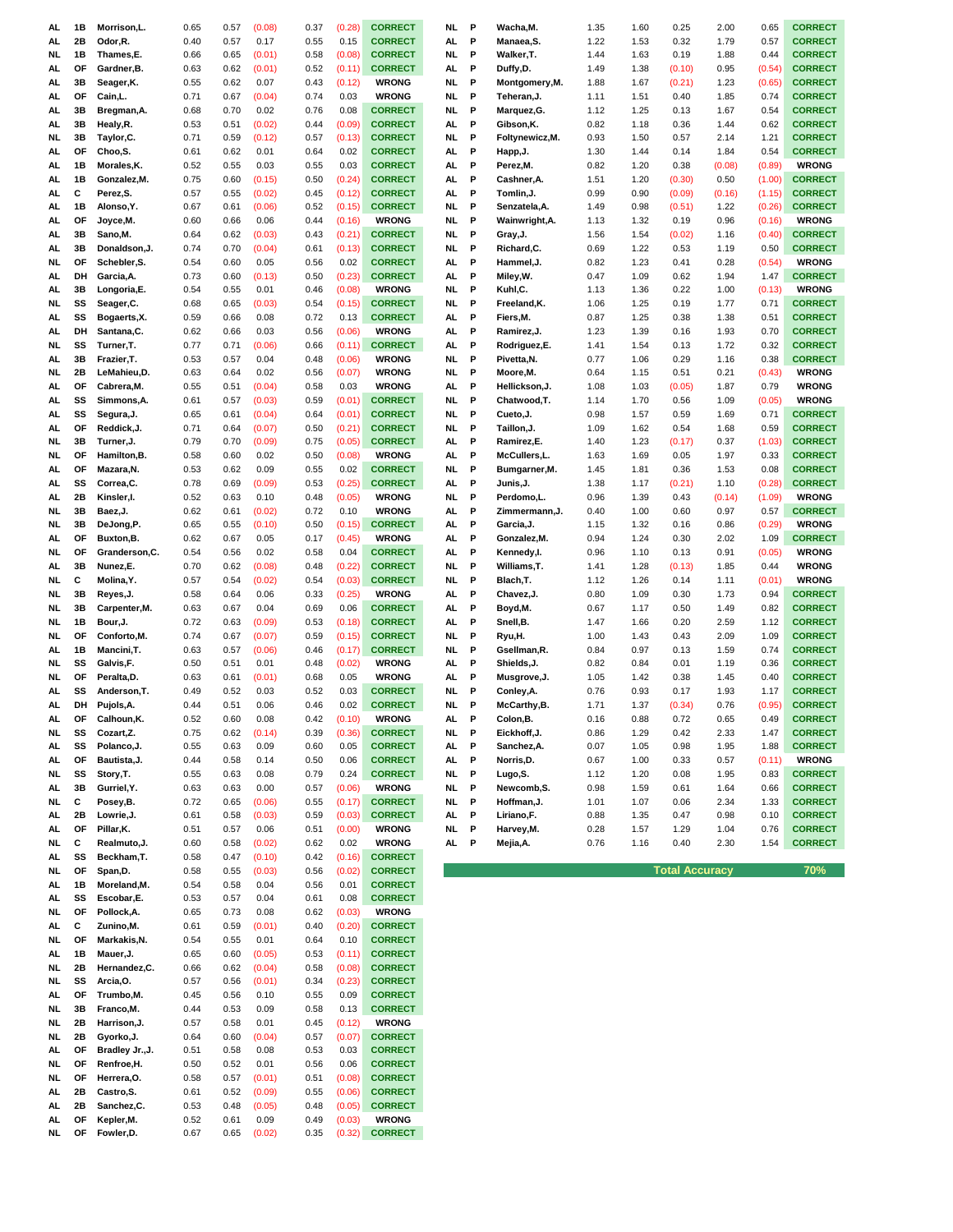| AL  | 1B | Morrison, L.    | 0.65 | 0.57 | (0.08) | 0.37 | (0.28) | <b>CORRECT</b> | NL. | P | Wacha, M.       | 1.35 | 1.60 | 0.25                  | 2.00   | 0.65   | <b>CORRECT</b> |
|-----|----|-----------------|------|------|--------|------|--------|----------------|-----|---|-----------------|------|------|-----------------------|--------|--------|----------------|
| AL. | 2Β | Odor, R.        | 0.40 | 0.57 | 0.17   | 0.55 | 0.15   | <b>CORRECT</b> | AL. | P | Manaea.S.       | 1.22 | 1.53 | 0.32                  | 1.79   | 0.57   | <b>CORRECT</b> |
|     |    |                 |      |      |        |      |        |                |     |   |                 |      |      |                       |        |        |                |
| NL. | 1B | Thames,E.       | 0.66 | 0.65 | (0.01) | 0.58 | (0.08) | <b>CORRECT</b> | NL. | P | Walker, T.      | 1.44 | 1.63 | 0.19                  | 1.88   | 0.44   | <b>CORRECT</b> |
| AL  | OF | Gardner, B.     | 0.63 | 0.62 | (0.01) | 0.52 | (0.11) | <b>CORRECT</b> | AL. | P | Duffy,D.        | 1.49 | 1.38 | (0.10)                | 0.95   | (0.54) | <b>CORRECT</b> |
| AL. | 3B | Seager, K.      | 0.55 | 0.62 | 0.07   | 0.43 | (0.12) | <b>WRONG</b>   | NL. | P | Montgomery, M.  | 1.88 | 1.67 | (0.21)                | 1.23   | (0.65) | <b>CORRECT</b> |
| AL  | OF | Cain,L.         | 0.71 | 0.67 | (0.04) | 0.74 | 0.03   | <b>WRONG</b>   | NL  | P | Teheran,J.      | 1.11 | 1.51 | 0.40                  | 1.85   | 0.74   | <b>CORRECT</b> |
| AL  | 3B | Bregman, A.     | 0.68 | 0.70 | 0.02   | 0.76 | 0.08   | <b>CORRECT</b> | NL. | P | Marquez, G.     | 1.12 | 1.25 | 0.13                  | 1.67   | 0.54   | <b>CORRECT</b> |
| AL  | 3B | Healy, R.       | 0.53 | 0.51 | (0.02) | 0.44 | (0.09) | <b>CORRECT</b> | AL  | P | Gibson, K.      | 0.82 | 1.18 | 0.36                  | 1.44   | 0.62   | <b>CORRECT</b> |
| NL  | 3B | Taylor, C.      | 0.71 | 0.59 | (0.12) | 0.57 | (0.13) | <b>CORRECT</b> | NL  | P | Foltynewicz, M. | 0.93 | 1.50 | 0.57                  | 2.14   | 1.21   | <b>CORRECT</b> |
|     |    |                 |      |      |        |      |        |                |     |   |                 |      |      |                       |        |        |                |
| AL  | OF | Choo,S.         | 0.61 | 0.62 | 0.01   | 0.64 | 0.02   | <b>CORRECT</b> | AL  | P | Happ, J.        | 1.30 | 1.44 | 0.14                  | 1.84   | 0.54   | <b>CORRECT</b> |
| AL  | 1B | Morales, K.     | 0.52 | 0.55 | 0.03   | 0.55 | 0.03   | <b>CORRECT</b> | AL  | P | Perez, M.       | 0.82 | 1.20 | 0.38                  | (0.08) | (0.89) | <b>WRONG</b>   |
| AL  | 1B | Gonzalez, M.    | 0.75 | 0.60 | (0.15) | 0.50 | (0.24) | <b>CORRECT</b> | AL  | P | Cashner, A.     | 1.51 | 1.20 | (0.30)                | 0.50   | (1.00) | <b>CORRECT</b> |
| AL. | C  | Perez, S.       | 0.57 | 0.55 | (0.02) | 0.45 | (0.12) | <b>CORRECT</b> | AL  | P | Tomlin, J.      | 0.99 | 0.90 | (0.09)                | (0.16) | (1.15) | <b>CORRECT</b> |
| AL  | 1B | Alonso.Y.       | 0.67 | 0.61 | (0.06) | 0.52 | (0.15) | <b>CORRECT</b> | NL. | P | Senzatela, A.   | 1.49 | 0.98 | (0.51)                | 1.22   | (0.26) | <b>CORRECT</b> |
| AL  | ΟF | Joyce, M.       | 0.60 | 0.66 | 0.06   | 0.44 | (0.16) | <b>WRONG</b>   | NL. | P | Wainwright, A.  | 1.13 | 1.32 | 0.19                  | 0.96   | (0.16) | <b>WRONG</b>   |
| AL  | 3В | Sano, M.        | 0.64 | 0.62 | (0.03) | 0.43 | (0.21) | <b>CORRECT</b> | NL. | P | Gray, J.        | 1.56 | 1.54 | (0.02)                | 1.16   | (0.40) | <b>CORRECT</b> |
|     |    |                 |      |      |        |      |        |                |     |   |                 |      |      |                       |        |        |                |
| AL  | 3B | Donaldson, J.   | 0.74 | 0.70 | (0.04) | 0.61 | (0.13) | <b>CORRECT</b> | NL. | P | Richard, C.     | 0.69 | 1.22 | 0.53                  | 1.19   | 0.50   | <b>CORRECT</b> |
| NL. | OF | Schebler, S.    | 0.54 | 0.60 | 0.05   | 0.56 | 0.02   | <b>CORRECT</b> | AL  | P | Hammel,J.       | 0.82 | 1.23 | 0.41                  | 0.28   | (0.54) | <b>WRONG</b>   |
| AL  | DH | Garcia, A.      | 0.73 | 0.60 | (0.13) | 0.50 | (0.23) | <b>CORRECT</b> | AL  | P | Miley, W.       | 0.47 | 1.09 | 0.62                  | 1.94   | 1.47   | <b>CORRECT</b> |
| AL  | 3B | Longoria,E.     | 0.54 | 0.55 | 0.01   | 0.46 | (0.08) | <b>WRONG</b>   | NL  | P | Kuhl,C.         | 1.13 | 1.36 | 0.22                  | 1.00   | (0.13) | <b>WRONG</b>   |
| NL. | SS | Seager, C.      | 0.68 | 0.65 | (0.03) | 0.54 | (0.15) | <b>CORRECT</b> | NL. | Ρ | Freeland, K.    | 1.06 | 1.25 | 0.19                  | 1.77   | 0.71   | <b>CORRECT</b> |
| AL. | SS | Bogaerts, X.    | 0.59 | 0.66 | 0.08   | 0.72 | 0.13   | <b>CORRECT</b> | AL  | Ρ | Fiers, M.       | 0.87 | 1.25 | 0.38                  | 1.38   | 0.51   | <b>CORRECT</b> |
| AL. | DH | Santana, C.     | 0.62 | 0.66 | 0.03   | 0.56 | (0.06) | <b>WRONG</b>   | AL  | Ρ | Ramirez, J.     | 1.23 | 1.39 | 0.16                  | 1.93   | 0.70   | <b>CORRECT</b> |
|     |    |                 |      |      |        |      |        | <b>CORRECT</b> |     |   |                 |      |      |                       |        |        |                |
| NL. | SS | Turner, T.      | 0.77 | 0.71 | (0.06) | 0.66 | (0.11) |                | AL. | P | Rodriguez,E.    | 1.41 | 1.54 | 0.13                  | 1.72   | 0.32   | <b>CORRECT</b> |
| AL. | 3B | Frazier, T.     | 0.53 | 0.57 | 0.04   | 0.48 | (0.06) | <b>WRONG</b>   | NL. | P | Pivetta, N.     | 0.77 | 1.06 | 0.29                  | 1.16   | 0.38   | <b>CORRECT</b> |
| NL. | 2Β | LeMahieu,D.     | 0.63 | 0.64 | 0.02   | 0.56 | (0.07) | <b>WRONG</b>   | NL. | P | Moore,M.        | 0.64 | 1.15 | 0.51                  | 0.21   | (0.43) | <b>WRONG</b>   |
| AL  | OF | Cabrera, M.     | 0.55 | 0.51 | (0.04) | 0.58 | 0.03   | <b>WRONG</b>   | AL  | P | Hellickson, J.  | 1.08 | 1.03 | (0.05)                | 1.87   | 0.79   | <b>WRONG</b>   |
| AL  | SS | Simmons, A.     | 0.61 | 0.57 | (0.03) | 0.59 | (0.01) | <b>CORRECT</b> | NL. | P | Chatwood, T.    | 1.14 | 1.70 | 0.56                  | 1.09   | (0.05) | <b>WRONG</b>   |
| AL  | SS | Segura, J.      | 0.65 | 0.61 | (0.04) | 0.64 | (0.01) | <b>CORRECT</b> | NL. | P | Cueto, J.       | 0.98 | 1.57 | 0.59                  | 1.69   | 0.71   | <b>CORRECT</b> |
| AL. | OF |                 |      | 0.64 |        |      |        | <b>CORRECT</b> | NL. | P |                 |      | 1.62 | 0.54                  |        | 0.59   | <b>CORRECT</b> |
|     |    | Reddick, J.     | 0.71 |      | (0.07) | 0.50 | (0.21) |                |     |   | Taillon, J.     | 1.09 |      |                       | 1.68   |        |                |
| NL. | 3B | Turner, J.      | 0.79 | 0.70 | (0.09) | 0.75 | (0.05) | <b>CORRECT</b> | AL  | P | Ramirez,E.      | 1.40 | 1.23 | (0.17)                | 0.37   | (1.03) | <b>CORRECT</b> |
| NL. | OF | Hamilton, B.    | 0.58 | 0.60 | 0.02   | 0.50 | (0.08) | <b>WRONG</b>   | AL  | P | McCullers,L.    | 1.63 | 1.69 | 0.05                  | 1.97   | 0.33   | <b>CORRECT</b> |
| AL  | OF | Mazara, N.      | 0.53 | 0.62 | 0.09   | 0.55 | 0.02   | <b>CORRECT</b> | NL  | P | Bumgarner, M.   | 1.45 | 1.81 | 0.36                  | 1.53   | 0.08   | <b>CORRECT</b> |
| AL  | SS | Correa,C.       | 0.78 | 0.69 | (0.09) | 0.53 | (0.25) | <b>CORRECT</b> | AL  | P | Junis, J.       | 1.38 | 1.17 | (0.21)                | 1.10   | (0.28) | <b>CORRECT</b> |
| AL  | 2B | Kinsler, I.     | 0.52 | 0.63 | 0.10   | 0.48 | (0.05) | <b>WRONG</b>   | NL  | P | Perdomo, L.     | 0.96 | 1.39 | 0.43                  | (0.14) | (1.09) | <b>WRONG</b>   |
| NL. | 3B | Baez, J.        | 0.62 | 0.61 | (0.02) | 0.72 | 0.10   | <b>WRONG</b>   | AL  | P | Zimmermann, J.  | 0.40 | 1.00 | 0.60                  | 0.97   | 0.57   | <b>CORRECT</b> |
| NL  | 3B | DeJong,P.       | 0.65 | 0.55 | (0.10) | 0.50 | (0.15) | <b>CORRECT</b> | AL  | P | Garcia, J.      | 1.15 | 1.32 | 0.16                  | 0.86   | (0.29) | <b>WRONG</b>   |
| AL  | OF | Buxton, B.      | 0.62 | 0.67 | 0.05   | 0.17 | (0.45) | <b>WRONG</b>   | AL  | P | Gonzalez, M.    | 0.94 | 1.24 | 0.30                  | 2.02   | 1.09   | <b>CORRECT</b> |
|     |    |                 |      |      |        |      |        |                |     |   |                 |      |      |                       |        |        |                |
| NL. | ΟF | Granderson, C.  | 0.54 | 0.56 | 0.02   | 0.58 | 0.04   | <b>CORRECT</b> | AL  | P | Kennedy, I.     | 0.96 | 1.10 | 0.13                  | 0.91   | (0.05) | <b>WRONG</b>   |
| AL  | 3В | Nunez,E.        | 0.70 | 0.62 | (0.08) | 0.48 | (0.22) | <b>CORRECT</b> | NL. | P | Williams, T.    | 1.41 | 1.28 | (0.13)                | 1.85   | 0.44   | <b>WRONG</b>   |
| NL  | С  | Molina, Y.      | 0.57 | 0.54 | (0.02) | 0.54 | (0.03) | <b>CORRECT</b> | NL. | P | Blach, T.       | 1.12 | 1.26 | 0.14                  | 1.11   | (0.01) | <b>WRONG</b>   |
|     |    |                 |      |      |        |      |        |                |     |   |                 |      |      |                       |        |        |                |
| NL. | 3B | Reyes, J.       | 0.58 | 0.64 | 0.06   | 0.33 | (0.25) | <b>WRONG</b>   | AL  | P | Chavez, J.      | 0.80 | 1.09 | 0.30                  | 1.73   | 0.94   | <b>CORRECT</b> |
| NL. | 3В | Carpenter, M.   | 0.63 | 0.67 | 0.04   | 0.69 | 0.06   | <b>CORRECT</b> | AL. | P | Boyd, M.        | 0.67 | 1.17 | 0.50                  | 1.49   | 0.82   | <b>CORRECT</b> |
|     |    |                 |      |      |        |      |        |                |     |   |                 |      |      |                       |        |        | <b>CORRECT</b> |
| NL  | 1B | Bour, J.        | 0.72 | 0.63 | (0.09) | 0.53 | (0.18) | <b>CORRECT</b> | AL. | P | Snell, B.       | 1.47 | 1.66 | 0.20                  | 2.59   | 1.12   |                |
| NL. | ΟF | Conforto, M.    | 0.74 | 0.67 | (0.07) | 0.59 | (0.15) | <b>CORRECT</b> | NL. | P | Ryu,H.          | 1.00 | 1.43 | 0.43                  | 2.09   | 1.09   | <b>CORRECT</b> |
| AL  | 1B | Mancini, T.     | 0.63 | 0.57 | (0.06) | 0.46 | (0.17) | <b>CORRECT</b> | NL. | P | Gsellman, R.    | 0.84 | 0.97 | 0.13                  | 1.59   | 0.74   | <b>CORRECT</b> |
| NL. | SS | Galvis, F.      | 0.50 | 0.51 | 0.01   | 0.48 | (0.02) | <b>WRONG</b>   | AL  | P | Shields, J.     | 0.82 | 0.84 | 0.01                  | 1.19   | 0.36   | <b>CORRECT</b> |
| NL. | ΟF | Peralta, D.     | 0.63 | 0.61 | (0.01) | 0.68 | 0.05   | <b>WRONG</b>   | AL. | Ρ | Musgrove, J.    | 1.05 | 1.42 | 0.38                  | 1.45   | 0.40   | <b>CORRECT</b> |
| AL. | SS | Anderson, T.    | 0.49 | 0.52 | 0.03   | 0.52 | 0.03   | <b>CORRECT</b> | NL. | P | Conley, A.      | 0.76 | 0.93 | 0.17                  | 1.93   | 1.17   | <b>CORRECT</b> |
| AL. | DH | Pujols, A.      | 0.44 | 0.51 | 0.06   | 0.46 | 0.02   | <b>CORRECT</b> | NL. | P | McCarthy, B.    | 1.71 | 1.37 | (0.34)                | 0.76   | (0.95) | <b>CORRECT</b> |
| AL  | υı | Calhoun, K.     | 0.52 | 0.60 | 0.08   | 0.42 | (0.10) | <b>WRONG</b>   | AL  |   | Colon,B.        | 0.16 | 0.88 | 0.72                  | 0.65   | 0.49   | <b>CORRECT</b> |
|     |    |                 |      |      |        |      |        | <b>CORRECT</b> |     |   |                 |      |      |                       |        |        |                |
| NL  | SS | Cozart,Z.       | 0.75 | 0.62 | (0.14) | 0.39 | (0.36) |                | NL  | P | Eickhoff, J.    | 0.86 | 1.29 | 0.42                  | 2.33   | 1.47   | <b>CORRECT</b> |
| AL  | SS | Polanco, J.     | 0.55 | 0.63 | 0.09   | 0.60 | 0.05   | <b>CORRECT</b> | AL  | P | Sanchez, A.     | 0.07 | 1.05 | 0.98                  | 1.95   | 1.88   | <b>CORRECT</b> |
| AL  | OF | Bautista, J.    | 0.44 | 0.58 | 0.14   | 0.50 | 0.06   | <b>CORRECT</b> | AL  | P | Norris, D.      | 0.67 | 1.00 | 0.33                  | 0.57   | (0.11) | <b>WRONG</b>   |
| NL  | SS | Story, T.       | 0.55 | 0.63 | 0.08   | 0.79 | 0.24   | <b>CORRECT</b> | NL  | P | Lugo, S.        | 1.12 | 1.20 | 0.08                  | 1.95   | 0.83   | <b>CORRECT</b> |
| AL. | 3В | Gurriel, Y.     | 0.63 | 0.63 | 0.00   | 0.57 | (0.06) | <b>WRONG</b>   | NL  | P | Newcomb,S.      | 0.98 | 1.59 | 0.61                  | 1.64   | 0.66   | <b>CORRECT</b> |
| NL  | C  | Posey,B.        | 0.72 | 0.65 | (0.06) | 0.55 | (0.17) | <b>CORRECT</b> | NL  | P | Hoffman,J.      | 1.01 | 1.07 | 0.06                  | 2.34   | 1.33   | <b>CORRECT</b> |
| AL. | 2B | Lowrie, J.      | 0.61 | 0.58 | (0.03) | 0.59 | (0.03) | <b>CORRECT</b> | AL. | P | Liriano, F.     | 0.88 | 1.35 | 0.47                  | 0.98   | 0.10   | <b>CORRECT</b> |
| AL  | OF | Pillar, K.      | 0.51 | 0.57 | 0.06   | 0.51 | (0.00) | <b>WRONG</b>   | NL. | P | Harvey, M.      | 0.28 | 1.57 | 1.29                  | 1.04   | 0.76   | <b>CORRECT</b> |
| NL  | C  | Realmuto, J.    | 0.60 | 0.58 | (0.02) | 0.62 | 0.02   | <b>WRONG</b>   | AL. | P | Mejia, A.       | 0.76 | 1.16 | 0.40                  | 2.30   | 1.54   | <b>CORRECT</b> |
|     | SS |                 |      |      |        |      |        |                |     |   |                 |      |      |                       |        |        |                |
| AL  |    | Beckham, T.     | 0.58 | 0.47 | (0.10) | 0.42 | (0.16) | <b>CORRECT</b> |     |   |                 |      |      |                       |        |        |                |
| NL  | OF | Span,D.         | 0.58 | 0.55 | (0.03) | 0.56 | (0.02) | <b>CORRECT</b> |     |   |                 |      |      | <b>Total Accuracy</b> |        |        | 70%            |
| AL  | 1B | Moreland, M.    | 0.54 | 0.58 | 0.04   | 0.56 | 0.01   | <b>CORRECT</b> |     |   |                 |      |      |                       |        |        |                |
| AL  | SS | Escobar,E.      | 0.53 | 0.57 | 0.04   | 0.61 | 0.08   | <b>CORRECT</b> |     |   |                 |      |      |                       |        |        |                |
| NL  | ΟF | Pollock, A.     | 0.65 | 0.73 | 0.08   | 0.62 | (0.03) | <b>WRONG</b>   |     |   |                 |      |      |                       |        |        |                |
| AL. | c  | Zunino, M.      | 0.61 | 0.59 | (0.01) | 0.40 | (0.20) | <b>CORRECT</b> |     |   |                 |      |      |                       |        |        |                |
| NL  | OF | Markakis, N.    | 0.54 | 0.55 | 0.01   | 0.64 | 0.10   | <b>CORRECT</b> |     |   |                 |      |      |                       |        |        |                |
| AL. | 1B | Mauer, J.       | 0.65 | 0.60 | (0.05) | 0.53 | (0.11) | <b>CORRECT</b> |     |   |                 |      |      |                       |        |        |                |
| NL  | 2B | Hernandez,C.    | 0.66 | 0.62 | (0.04) | 0.58 | (0.08) | <b>CORRECT</b> |     |   |                 |      |      |                       |        |        |                |
| NL  | SS | Arcia, O.       | 0.57 | 0.56 | (0.01) | 0.34 | (0.23) | <b>CORRECT</b> |     |   |                 |      |      |                       |        |        |                |
|     |    |                 |      |      |        |      |        |                |     |   |                 |      |      |                       |        |        |                |
| AL  | ΟF | Trumbo,M.       | 0.45 | 0.56 | 0.10   | 0.55 | 0.09   | <b>CORRECT</b> |     |   |                 |      |      |                       |        |        |                |
| NL  | 3B | Franco, M.      | 0.44 | 0.53 | 0.09   | 0.58 | 0.13   | <b>CORRECT</b> |     |   |                 |      |      |                       |        |        |                |
| NL  | 2Β | Harrison, J.    | 0.57 | 0.58 | 0.01   | 0.45 | (0.12) | <b>WRONG</b>   |     |   |                 |      |      |                       |        |        |                |
| NL  | 2Β | Gyorko, J.      | 0.64 | 0.60 | (0.04) | 0.57 | (0.07) | <b>CORRECT</b> |     |   |                 |      |      |                       |        |        |                |
| AL. | OF | Bradley Jr., J. | 0.51 | 0.58 | 0.08   | 0.53 | 0.03   | <b>CORRECT</b> |     |   |                 |      |      |                       |        |        |                |
| NL  | OF | Renfroe, H.     | 0.50 | 0.52 | 0.01   | 0.56 | 0.06   | <b>CORRECT</b> |     |   |                 |      |      |                       |        |        |                |
| NL  | OF | Herrera, O.     | 0.58 | 0.57 | (0.01) | 0.51 | (0.08) | <b>CORRECT</b> |     |   |                 |      |      |                       |        |        |                |
| AL. | 2B | Castro, S.      | 0.61 | 0.52 | (0.09) | 0.55 | (0.06) | <b>CORRECT</b> |     |   |                 |      |      |                       |        |        |                |
| AL  | 2B | Sanchez,C.      | 0.53 | 0.48 | (0.05) | 0.48 | (0.05) | <b>CORRECT</b> |     |   |                 |      |      |                       |        |        |                |
| AL  | ΟF | Kepler, M.      | 0.52 | 0.61 | 0.09   | 0.49 | (0.03) | <b>WRONG</b>   |     |   |                 |      |      |                       |        |        |                |